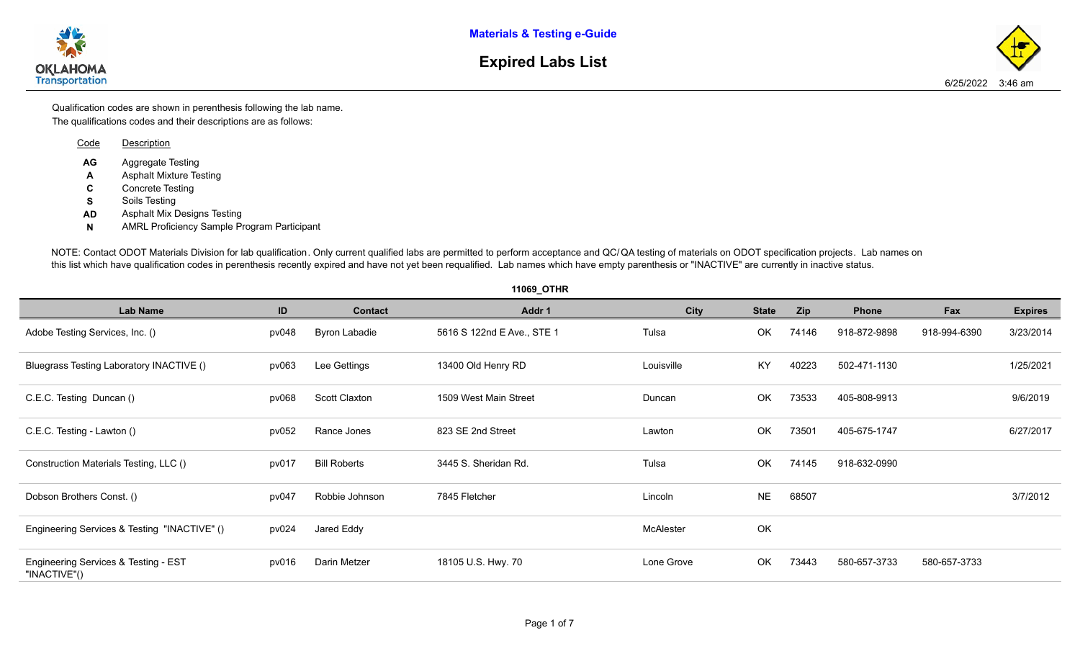**Materials & Testing e-Guide**



## **Expired Labs List**

The qualifications codes and their descriptions are as follows: Qualification codes are shown in perenthesis following the lab name.

| Code    | Description                                         |
|---------|-----------------------------------------------------|
| AG<br>A | Aggregate Testing<br><b>Asphalt Mixture Testing</b> |
| C       | Concrete Testing                                    |
| s       | Soils Testing                                       |
| AD      | Asphalt Mix Designs Testing                         |
| N       | <b>AMRL Proficiency Sample Program Participant</b>  |
|         |                                                     |

NOTE: Contact ODOT Materials Division for lab qualification. Only current qualified labs are permitted to perform acceptance and QC/QA testi this list which have qualification codes in perenthesis recently expired and have not yet been requalified. Lab names which have empty parent

|                                                      |       |                      | 11069_OTHR                 |     |
|------------------------------------------------------|-------|----------------------|----------------------------|-----|
| Lab Name                                             | ID    | <b>Contact</b>       | Addr 1                     |     |
| Adobe Testing Services, Inc. ()                      | pv048 | <b>Byron Labadie</b> | 5616 S 122nd E Ave., STE 1 | Tul |
| Bluegrass Testing Laboratory INACTIVE ()             | pv063 | Lee Gettings         | 13400 Old Henry RD         | Lou |
| C.E.C. Testing Duncan ()                             | pv068 | Scott Claxton        | 1509 West Main Street      | Du  |
| C.E.C. Testing - Lawton ()                           | pv052 | Rance Jones          | 823 SE 2nd Street          | Lay |
| Construction Materials Testing, LLC ()               | pv017 | <b>Bill Roberts</b>  | 3445 S. Sheridan Rd.       | Tul |
| Dobson Brothers Const. ()                            | pv047 | Robbie Johnson       | 7845 Fletcher              | Lin |
| Engineering Services & Testing "INACTIVE" ()         | pv024 | Jared Eddy           |                            | Mc  |
| Engineering Services & Testing - EST<br>"INACTIVE"() | pv016 | Darin Metzer         | 18105 U.S. Hwy. 70         | Lor |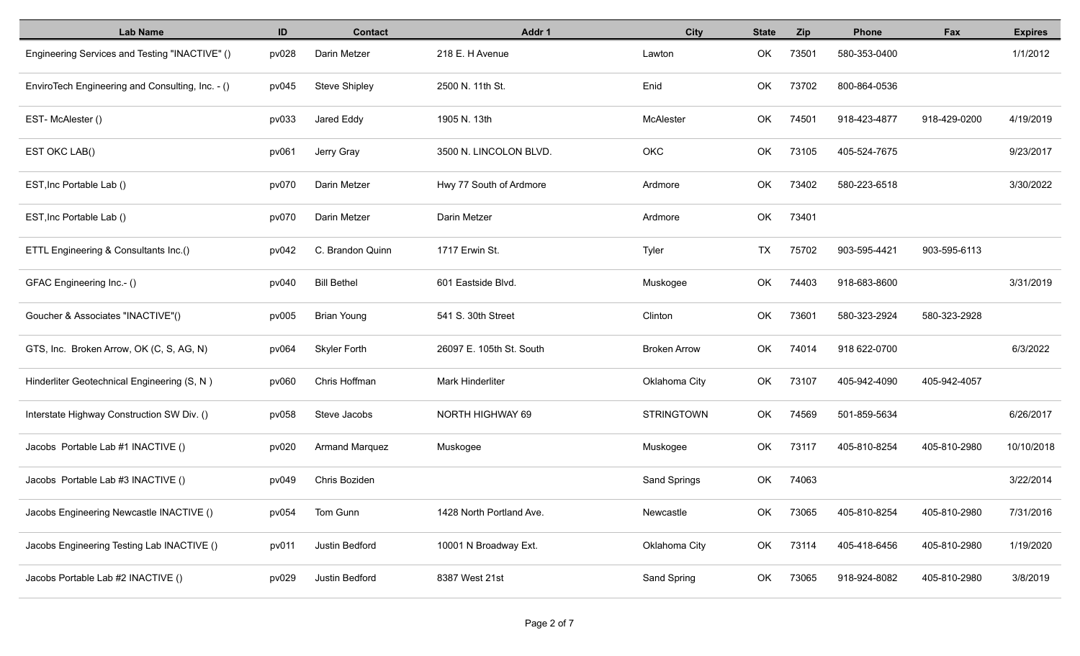| <b>Lab Name</b>                                  | ID    | <b>Contact</b>        | Addr 1                   | <b>City</b>         | <b>State</b> | <b>Zip</b> | <b>Phone</b> | Fax          | <b>Expires</b> |
|--------------------------------------------------|-------|-----------------------|--------------------------|---------------------|--------------|------------|--------------|--------------|----------------|
| Engineering Services and Testing "INACTIVE" ()   | pv028 | Darin Metzer          | 218 E. H Avenue          | Lawton              | OK           | 73501      | 580-353-0400 |              | 1/1/2012       |
| EnviroTech Engineering and Consulting, Inc. - () | pv045 | <b>Steve Shipley</b>  | 2500 N. 11th St.         | Enid                | OK           | 73702      | 800-864-0536 |              |                |
| EST-McAlester()                                  | pv033 | Jared Eddy            | 1905 N. 13th             | McAlester           | OK           | 74501      | 918-423-4877 | 918-429-0200 | 4/19/2019      |
| EST OKC LAB()                                    | pv061 | Jerry Gray            | 3500 N. LINCOLON BLVD.   | OKC                 | OK           | 73105      | 405-524-7675 |              | 9/23/2017      |
| EST, Inc Portable Lab ()                         | pv070 | Darin Metzer          | Hwy 77 South of Ardmore  | Ardmore             | OK           | 73402      | 580-223-6518 |              | 3/30/2022      |
| EST, Inc Portable Lab ()                         | pv070 | Darin Metzer          | Darin Metzer             | Ardmore             | OK           | 73401      |              |              |                |
| ETTL Engineering & Consultants Inc.()            | pv042 | C. Brandon Quinn      | 1717 Erwin St.           | Tyler               | TX           | 75702      | 903-595-4421 | 903-595-6113 |                |
| GFAC Engineering Inc.- ()                        | pv040 | <b>Bill Bethel</b>    | 601 Eastside Blvd.       | Muskogee            | OK           | 74403      | 918-683-8600 |              | 3/31/2019      |
| Goucher & Associates "INACTIVE"()                | pv005 | <b>Brian Young</b>    | 541 S. 30th Street       | Clinton             | OK           | 73601      | 580-323-2924 | 580-323-2928 |                |
| GTS, Inc. Broken Arrow, OK (C, S, AG, N)         | pv064 | <b>Skyler Forth</b>   | 26097 E. 105th St. South | <b>Broken Arrow</b> | OK           | 74014      | 918 622-0700 |              | 6/3/2022       |
| Hinderliter Geotechnical Engineering (S, N)      | pv060 | Chris Hoffman         | <b>Mark Hinderliter</b>  | Oklahoma City       | OK           | 73107      | 405-942-4090 | 405-942-4057 |                |
| Interstate Highway Construction SW Div. ()       | pv058 | Steve Jacobs          | NORTH HIGHWAY 69         | <b>STRINGTOWN</b>   | OK           | 74569      | 501-859-5634 |              | 6/26/2017      |
| Jacobs Portable Lab #1 INACTIVE ()               | pv020 | <b>Armand Marquez</b> | Muskogee                 | Muskogee            | OK           | 73117      | 405-810-8254 | 405-810-2980 | 10/10/2018     |
| Jacobs Portable Lab #3 INACTIVE ()               | pv049 | Chris Boziden         |                          | Sand Springs        | OK           | 74063      |              |              | 3/22/2014      |
| Jacobs Engineering Newcastle INACTIVE ()         | pv054 | Tom Gunn              | 1428 North Portland Ave. | Newcastle           | OK           | 73065      | 405-810-8254 | 405-810-2980 | 7/31/2016      |
| Jacobs Engineering Testing Lab INACTIVE ()       | pv011 | Justin Bedford        | 10001 N Broadway Ext.    | Oklahoma City       | OK           | 73114      | 405-418-6456 | 405-810-2980 | 1/19/2020      |
| Jacobs Portable Lab #2 INACTIVE ()               | pv029 | Justin Bedford        | 8387 West 21st           | Sand Spring         | OK           | 73065      | 918-924-8082 | 405-810-2980 | 3/8/2019       |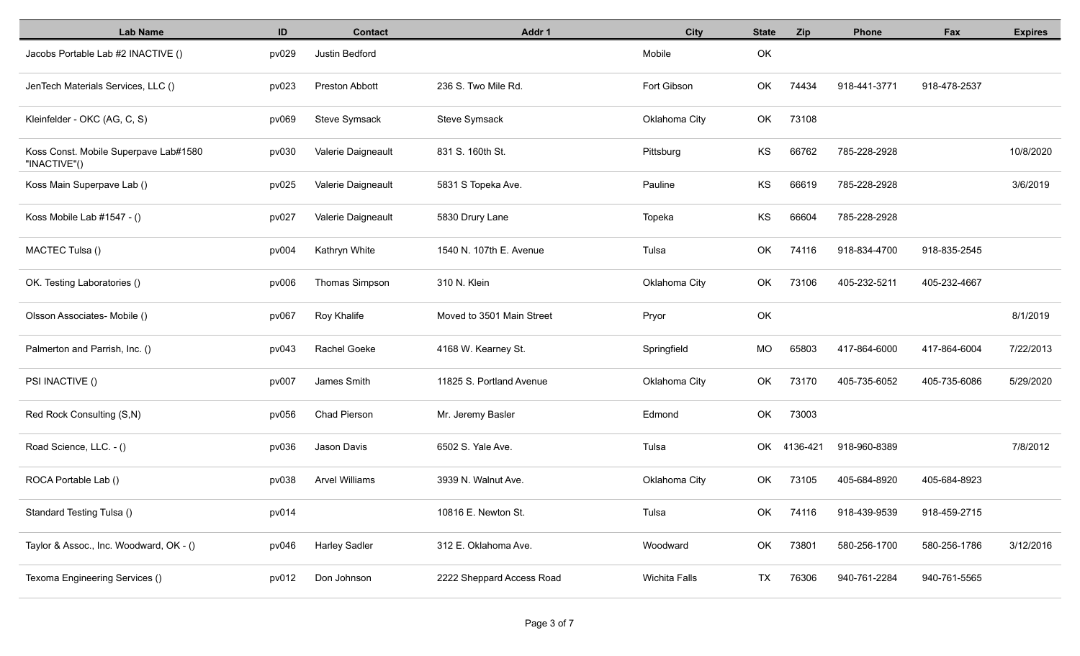| <b>Lab Name</b>                                       | ID    | <b>Contact</b>        | Addr 1                    | <b>City</b>   | <b>State</b> | Zip         | Phone        | Fax          | <b>Expires</b> |
|-------------------------------------------------------|-------|-----------------------|---------------------------|---------------|--------------|-------------|--------------|--------------|----------------|
| Jacobs Portable Lab #2 INACTIVE ()                    | pv029 | Justin Bedford        |                           | Mobile        | OK           |             |              |              |                |
| JenTech Materials Services, LLC ()                    | pv023 | <b>Preston Abbott</b> | 236 S. Two Mile Rd.       | Fort Gibson   | OK           | 74434       | 918-441-3771 | 918-478-2537 |                |
| Kleinfelder - OKC (AG, C, S)                          | pv069 | Steve Symsack         | Steve Symsack             | Oklahoma City | OK           | 73108       |              |              |                |
| Koss Const. Mobile Superpave Lab#1580<br>"INACTIVE"() | pv030 | Valerie Daigneault    | 831 S. 160th St.          | Pittsburg     | KS           | 66762       | 785-228-2928 |              | 10/8/2020      |
| Koss Main Superpave Lab ()                            | pv025 | Valerie Daigneault    | 5831 S Topeka Ave.        | Pauline       | KS           | 66619       | 785-228-2928 |              | 3/6/2019       |
| Koss Mobile Lab #1547 - ()                            | pv027 | Valerie Daigneault    | 5830 Drury Lane           | Topeka        | KS           | 66604       | 785-228-2928 |              |                |
| MACTEC Tulsa ()                                       | pv004 | Kathryn White         | 1540 N. 107th E. Avenue   | Tulsa         | OK           | 74116       | 918-834-4700 | 918-835-2545 |                |
| OK. Testing Laboratories ()                           | pv006 | Thomas Simpson        | 310 N. Klein              | Oklahoma City | OK           | 73106       | 405-232-5211 | 405-232-4667 |                |
| Olsson Associates- Mobile ()                          | pv067 | Roy Khalife           | Moved to 3501 Main Street | Pryor         | OK           |             |              |              | 8/1/2019       |
| Palmerton and Parrish, Inc. ()                        | pv043 | Rachel Goeke          | 4168 W. Kearney St.       | Springfield   | MO           | 65803       | 417-864-6000 | 417-864-6004 | 7/22/2013      |
| PSI INACTIVE ()                                       | pv007 | James Smith           | 11825 S. Portland Avenue  | Oklahoma City | OK           | 73170       | 405-735-6052 | 405-735-6086 | 5/29/2020      |
| Red Rock Consulting (S,N)                             | pv056 | <b>Chad Pierson</b>   | Mr. Jeremy Basler         | Edmond        | OK           | 73003       |              |              |                |
| Road Science, LLC. - ()                               | pv036 | Jason Davis           | 6502 S. Yale Ave.         | Tulsa         |              | OK 4136-421 | 918-960-8389 |              | 7/8/2012       |
| ROCA Portable Lab ()                                  | pv038 | <b>Arvel Williams</b> | 3939 N. Walnut Ave.       | Oklahoma City | OK           | 73105       | 405-684-8920 | 405-684-8923 |                |
| Standard Testing Tulsa ()                             | pv014 |                       | 10816 E. Newton St.       | Tulsa         | OK           | 74116       | 918-439-9539 | 918-459-2715 |                |
| Taylor & Assoc., Inc. Woodward, OK - ()               | pv046 | <b>Harley Sadler</b>  | 312 E. Oklahoma Ave.      | Woodward      | OK           | 73801       | 580-256-1700 | 580-256-1786 | 3/12/2016      |
| Texoma Engineering Services ()                        | pv012 | Don Johnson           | 2222 Sheppard Access Road | Wichita Falls | <b>TX</b>    | 76306       | 940-761-2284 | 940-761-5565 |                |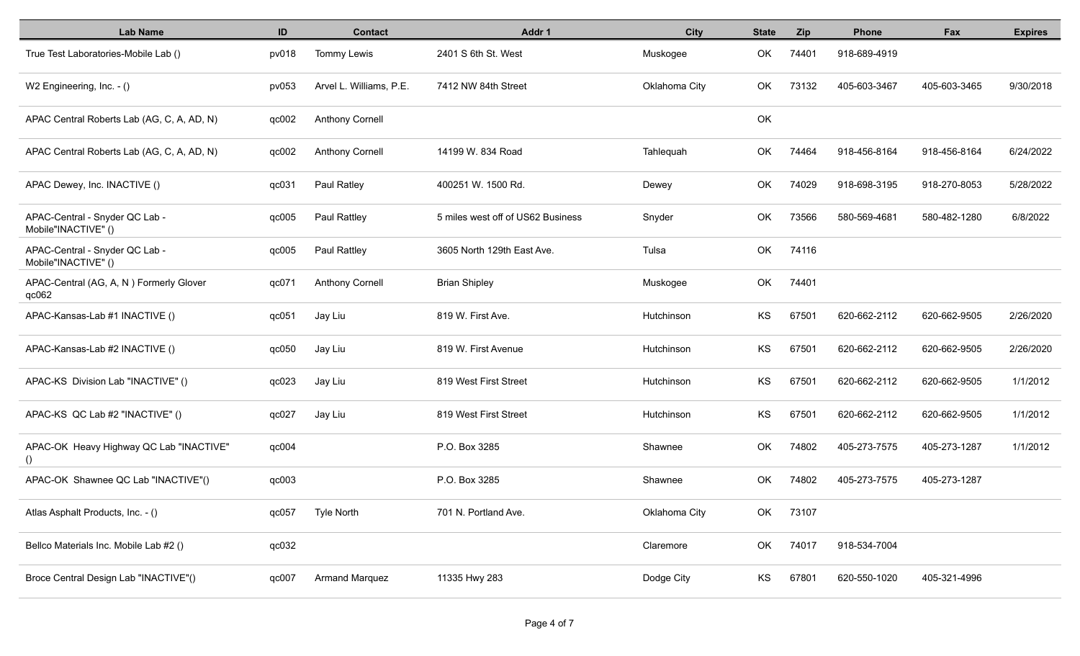| <b>Lab Name</b>                                               | ID    | <b>Contact</b>          | Addr 1                            | <b>City</b>   | <b>State</b> | <b>Zip</b> | <b>Phone</b> | Fax          | <b>Expires</b> |
|---------------------------------------------------------------|-------|-------------------------|-----------------------------------|---------------|--------------|------------|--------------|--------------|----------------|
| True Test Laboratories-Mobile Lab ()                          | pv018 | Tommy Lewis             | 2401 S 6th St. West               | Muskogee      | OK           | 74401      | 918-689-4919 |              |                |
| W2 Engineering, Inc. - ()                                     | pv053 | Arvel L. Williams, P.E. | 7412 NW 84th Street               | Oklahoma City | OK           | 73132      | 405-603-3467 | 405-603-3465 | 9/30/2018      |
| APAC Central Roberts Lab (AG, C, A, AD, N)                    | qc002 | <b>Anthony Cornell</b>  |                                   |               | OK           |            |              |              |                |
| APAC Central Roberts Lab (AG, C, A, AD, N)                    | qc002 | <b>Anthony Cornell</b>  | 14199 W. 834 Road                 | Tahlequah     | OK           | 74464      | 918-456-8164 | 918-456-8164 | 6/24/2022      |
| APAC Dewey, Inc. INACTIVE ()                                  | qc031 | Paul Ratley             | 400251 W. 1500 Rd.                | Dewey         | OK           | 74029      | 918-698-3195 | 918-270-8053 | 5/28/2022      |
| APAC-Central - Snyder QC Lab -<br>Mobile"INACTIVE" ()         | qc005 | Paul Rattley            | 5 miles west off of US62 Business | Snyder        | OK           | 73566      | 580-569-4681 | 580-482-1280 | 6/8/2022       |
| APAC-Central - Snyder QC Lab -<br>Mobile"INACTIVE" ()         | qc005 | Paul Rattley            | 3605 North 129th East Ave.        | Tulsa         | OK           | 74116      |              |              |                |
| APAC-Central (AG, A, N) Formerly Glover<br>q <sub>c</sub> 062 | qc071 | <b>Anthony Cornell</b>  | <b>Brian Shipley</b>              | Muskogee      | OK           | 74401      |              |              |                |
| APAC-Kansas-Lab #1 INACTIVE ()                                | qc051 | Jay Liu                 | 819 W. First Ave.                 | Hutchinson    | KS           | 67501      | 620-662-2112 | 620-662-9505 | 2/26/2020      |
| APAC-Kansas-Lab #2 INACTIVE ()                                | qc050 | Jay Liu                 | 819 W. First Avenue               | Hutchinson    | KS           | 67501      | 620-662-2112 | 620-662-9505 | 2/26/2020      |
| APAC-KS Division Lab "INACTIVE" ()                            | qc023 | Jay Liu                 | 819 West First Street             | Hutchinson    | KS           | 67501      | 620-662-2112 | 620-662-9505 | 1/1/2012       |
| APAC-KS QC Lab #2 "INACTIVE" ()                               | qc027 | Jay Liu                 | 819 West First Street             | Hutchinson    | KS           | 67501      | 620-662-2112 | 620-662-9505 | 1/1/2012       |
| APAC-OK Heavy Highway QC Lab "INACTIVE"<br>$\left( \right)$   | qc004 |                         | P.O. Box 3285                     | Shawnee       | OK           | 74802      | 405-273-7575 | 405-273-1287 | 1/1/2012       |
| APAC-OK Shawnee QC Lab "INACTIVE"()                           | qc003 |                         | P.O. Box 3285                     | Shawnee       | OK           | 74802      | 405-273-7575 | 405-273-1287 |                |
| Atlas Asphalt Products, Inc. - ()                             | qc057 | Tyle North              | 701 N. Portland Ave.              | Oklahoma City | OK           | 73107      |              |              |                |
| Bellco Materials Inc. Mobile Lab #2 ()                        | qc032 |                         |                                   | Claremore     | OK           | 74017      | 918-534-7004 |              |                |
| Broce Central Design Lab "INACTIVE"()                         | qc007 | <b>Armand Marquez</b>   | 11335 Hwy 283                     | Dodge City    | KS           | 67801      | 620-550-1020 | 405-321-4996 |                |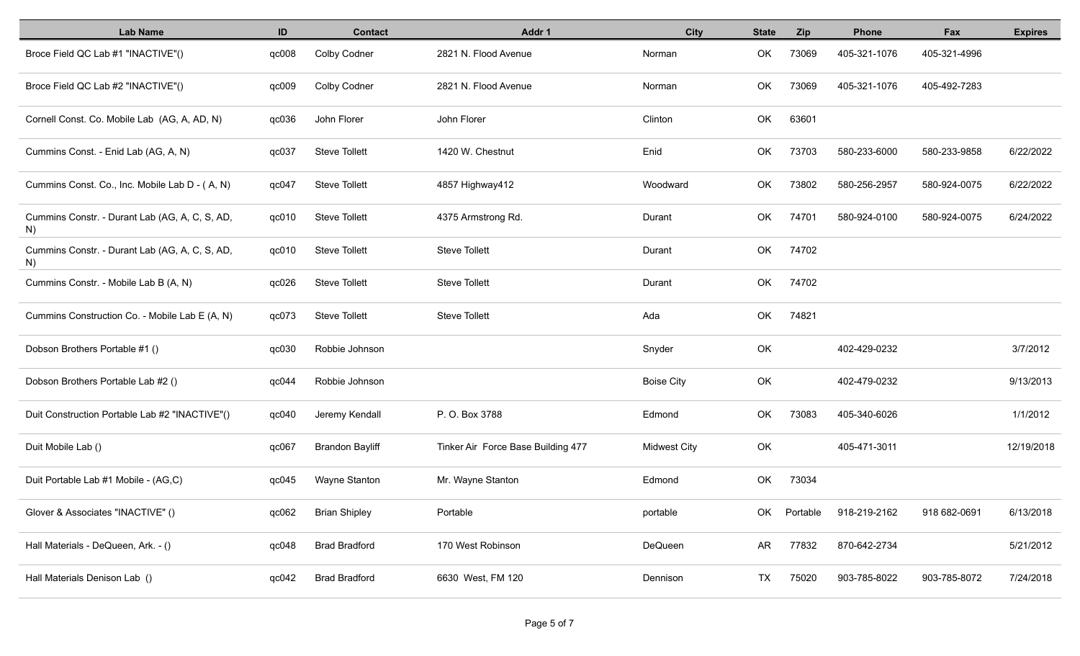| <b>Lab Name</b>                                      | ID    | <b>Contact</b>         | Addr 1                             | City                | <b>State</b> | Zip      | Phone        | Fax          | <b>Expires</b> |
|------------------------------------------------------|-------|------------------------|------------------------------------|---------------------|--------------|----------|--------------|--------------|----------------|
| Broce Field QC Lab #1 "INACTIVE"()                   | qc008 | <b>Colby Codner</b>    | 2821 N. Flood Avenue               | Norman              | OK           | 73069    | 405-321-1076 | 405-321-4996 |                |
| Broce Field QC Lab #2 "INACTIVE"()                   | qc009 | Colby Codner           | 2821 N. Flood Avenue               | Norman              | OK           | 73069    | 405-321-1076 | 405-492-7283 |                |
| Cornell Const. Co. Mobile Lab (AG, A, AD, N)         | qc036 | John Florer            | John Florer                        | Clinton             | OK           | 63601    |              |              |                |
| Cummins Const. - Enid Lab (AG, A, N)                 | qc037 | <b>Steve Tollett</b>   | 1420 W. Chestnut                   | Enid                | OK           | 73703    | 580-233-6000 | 580-233-9858 | 6/22/2022      |
| Cummins Const. Co., Inc. Mobile Lab D - (A, N)       | qc047 | <b>Steve Tollett</b>   | 4857 Highway412                    | Woodward            | OK           | 73802    | 580-256-2957 | 580-924-0075 | 6/22/2022      |
| Cummins Constr. - Durant Lab (AG, A, C, S, AD,<br>N) | qc010 | <b>Steve Tollett</b>   | 4375 Armstrong Rd.                 | Durant              | OK           | 74701    | 580-924-0100 | 580-924-0075 | 6/24/2022      |
| Cummins Constr. - Durant Lab (AG, A, C, S, AD,<br>N) | qc010 | <b>Steve Tollett</b>   | <b>Steve Tollett</b>               | Durant              | OK           | 74702    |              |              |                |
| Cummins Constr. - Mobile Lab B (A, N)                | qc026 | <b>Steve Tollett</b>   | <b>Steve Tollett</b>               | Durant              | OK           | 74702    |              |              |                |
| Cummins Construction Co. - Mobile Lab E (A, N)       | qc073 | <b>Steve Tollett</b>   | <b>Steve Tollett</b>               | Ada                 | OK           | 74821    |              |              |                |
| Dobson Brothers Portable #1 ()                       | qc030 | Robbie Johnson         |                                    | Snyder              | OK           |          | 402-429-0232 |              | 3/7/2012       |
| Dobson Brothers Portable Lab #2 ()                   | qc044 | Robbie Johnson         |                                    | <b>Boise City</b>   | OK           |          | 402-479-0232 |              | 9/13/2013      |
| Duit Construction Portable Lab #2 "INACTIVE"()       | qc040 | Jeremy Kendall         | P. O. Box 3788                     | Edmond              | OK           | 73083    | 405-340-6026 |              | 1/1/2012       |
| Duit Mobile Lab ()                                   | qc067 | <b>Brandon Bayliff</b> | Tinker Air Force Base Building 477 | <b>Midwest City</b> | OK           |          | 405-471-3011 |              | 12/19/2018     |
| Duit Portable Lab #1 Mobile - (AG,C)                 | qc045 | Wayne Stanton          | Mr. Wayne Stanton                  | Edmond              | OK           | 73034    |              |              |                |
| Glover & Associates "INACTIVE" ()                    | qc062 | <b>Brian Shipley</b>   | Portable                           | portable            | OK           | Portable | 918-219-2162 | 918 682-0691 | 6/13/2018      |
| Hall Materials - DeQueen, Ark. - ()                  | qc048 | <b>Brad Bradford</b>   | 170 West Robinson                  | DeQueen             | AR           | 77832    | 870-642-2734 |              | 5/21/2012      |
| Hall Materials Denison Lab ()                        | qc042 | <b>Brad Bradford</b>   | 6630 West, FM 120                  | Dennison            | TX           | 75020    | 903-785-8022 | 903-785-8072 | 7/24/2018      |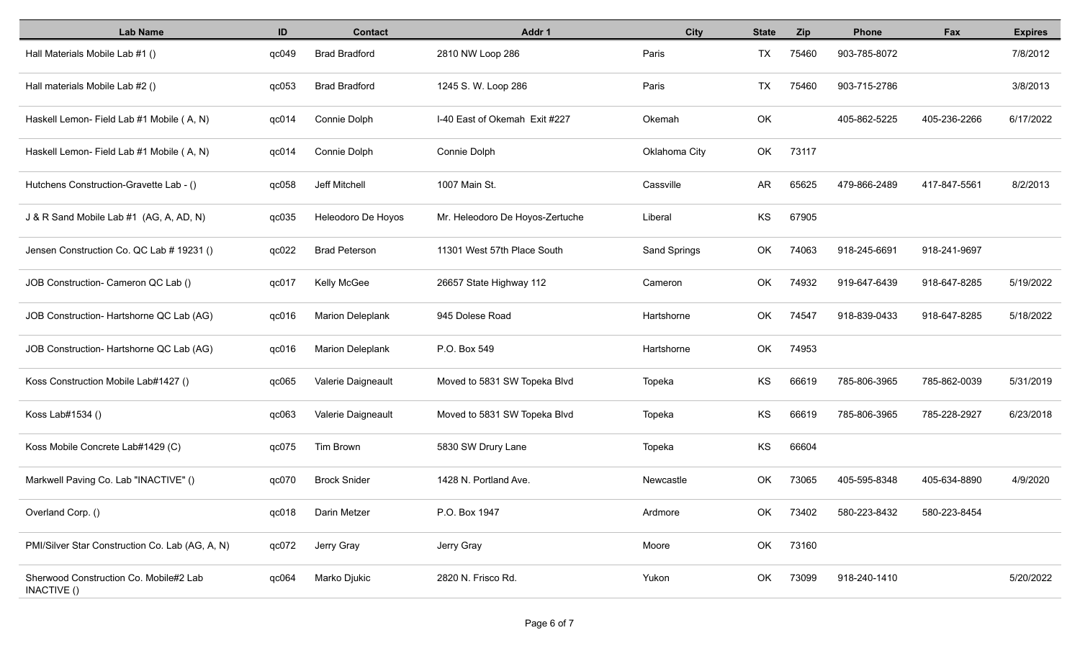| <b>Lab Name</b>                                              | ID    | <b>Contact</b>          | Addr 1                          | <b>City</b>         | <b>State</b> | <b>Zip</b> | Phone        | Fax          | <b>Expires</b> |
|--------------------------------------------------------------|-------|-------------------------|---------------------------------|---------------------|--------------|------------|--------------|--------------|----------------|
| Hall Materials Mobile Lab #1 ()                              | qc049 | <b>Brad Bradford</b>    | 2810 NW Loop 286                | Paris               | <b>TX</b>    | 75460      | 903-785-8072 |              | 7/8/2012       |
| Hall materials Mobile Lab #2 ()                              | qc053 | <b>Brad Bradford</b>    | 1245 S. W. Loop 286             | Paris               | <b>TX</b>    | 75460      | 903-715-2786 |              | 3/8/2013       |
| Haskell Lemon- Field Lab #1 Mobile (A, N)                    | qc014 | Connie Dolph            | I-40 East of Okemah Exit #227   | Okemah              | OK           |            | 405-862-5225 | 405-236-2266 | 6/17/2022      |
| Haskell Lemon- Field Lab #1 Mobile (A, N)                    | qc014 | Connie Dolph            | Connie Dolph                    | Oklahoma City       | OK           | 73117      |              |              |                |
| Hutchens Construction-Gravette Lab - ()                      | qc058 | Jeff Mitchell           | 1007 Main St.                   | Cassville           | AR           | 65625      | 479-866-2489 | 417-847-5561 | 8/2/2013       |
| J & R Sand Mobile Lab #1 (AG, A, AD, N)                      | qc035 | Heleodoro De Hoyos      | Mr. Heleodoro De Hoyos-Zertuche | Liberal             | KS           | 67905      |              |              |                |
| Jensen Construction Co. QC Lab # 19231 ()                    | qc022 | <b>Brad Peterson</b>    | 11301 West 57th Place South     | <b>Sand Springs</b> | <b>OK</b>    | 74063      | 918-245-6691 | 918-241-9697 |                |
| JOB Construction- Cameron QC Lab ()                          | qc017 | Kelly McGee             | 26657 State Highway 112         | Cameron             | <b>OK</b>    | 74932      | 919-647-6439 | 918-647-8285 | 5/19/2022      |
| JOB Construction- Hartshorne QC Lab (AG)                     | qc016 | <b>Marion Deleplank</b> | 945 Dolese Road                 | Hartshorne          | OK           | 74547      | 918-839-0433 | 918-647-8285 | 5/18/2022      |
| JOB Construction- Hartshorne QC Lab (AG)                     | qc016 | <b>Marion Deleplank</b> | P.O. Box 549                    | Hartshorne          | OK           | 74953      |              |              |                |
| Koss Construction Mobile Lab#1427 ()                         | qc065 | Valerie Daigneault      | Moved to 5831 SW Topeka Blvd    | Topeka              | KS           | 66619      | 785-806-3965 | 785-862-0039 | 5/31/2019      |
| Koss Lab#1534 ()                                             | qc063 | Valerie Daigneault      | Moved to 5831 SW Topeka Blvd    | Topeka              | KS           | 66619      | 785-806-3965 | 785-228-2927 | 6/23/2018      |
| Koss Mobile Concrete Lab#1429 (C)                            | qc075 | Tim Brown               | 5830 SW Drury Lane              | Topeka              | KS           | 66604      |              |              |                |
| Markwell Paving Co. Lab "INACTIVE" ()                        | qc070 | <b>Brock Snider</b>     | 1428 N. Portland Ave.           | Newcastle           | <b>OK</b>    | 73065      | 405-595-8348 | 405-634-8890 | 4/9/2020       |
| Overland Corp. ()                                            | qc018 | Darin Metzer            | P.O. Box 1947                   | Ardmore             | OK           | 73402      | 580-223-8432 | 580-223-8454 |                |
| PMI/Silver Star Construction Co. Lab (AG, A, N)              | qc072 | Jerry Gray              | Jerry Gray                      | Moore               | OK           | 73160      |              |              |                |
| Sherwood Construction Co. Mobile#2 Lab<br><b>INACTIVE ()</b> | qc064 | Marko Djukic            | 2820 N. Frisco Rd.              | Yukon               | OK           | 73099      | 918-240-1410 |              | 5/20/2022      |